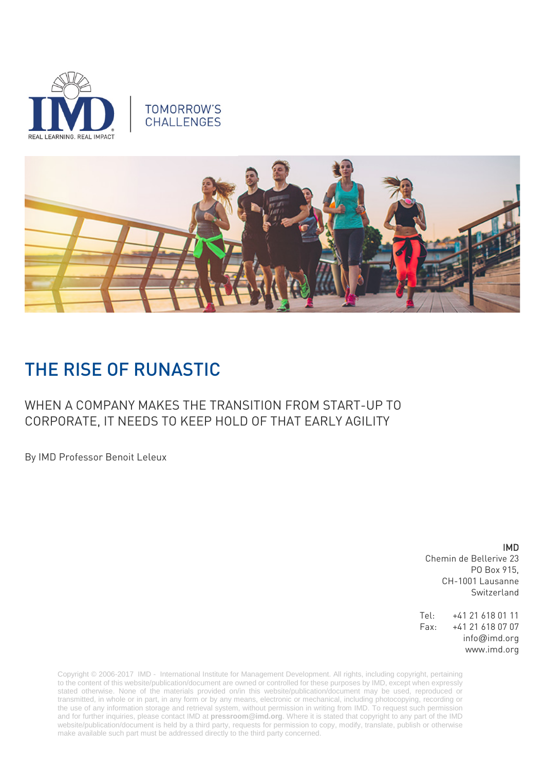

# **TOMORROW'S CHALLENGES**



# THE RISE OF RUNASTIC

# WHEN A COMPANY MAKES THE TRANSITION FROM START-UP TO CORPORATE, IT NEEDS TO KEEP HOLD OF THAT EARLY AGILITY

By IMD Professor Benoit Leleux

IMD

Chemin de Bellerive 23 PO Box 915, CH-1001 Lausanne Switzerland

Tel: +41 21 618 01 11 Fax: +41 21 618 07 07 info@imd.org www.imd.org

Copyright © 2006-2017 IMD - International Institute for Management Development. All rights, including copyright, pertaining to the content of this website/publication/document are owned or controlled for these purposes by IMD, except when expressly stated otherwise. None of the materials provided on/in this website/publication/document may be used, reproduced or transmitted, in whole or in part, in any form or by any means, electronic or mechanical, including photocopying, recording or the use of any information storage and retrieval system, without permission in writing from IMD. To request such permission and for further inquiries, please contact IMD at **[pressroom@imd.org](mailto:pressroom@imd.org)**. Where it is stated that copyright to any part of the IMD website/publication/document is held by a third party, requests for permission to copy, modify, translate, publish or otherwise make available such part must be addressed directly to the third party concerned.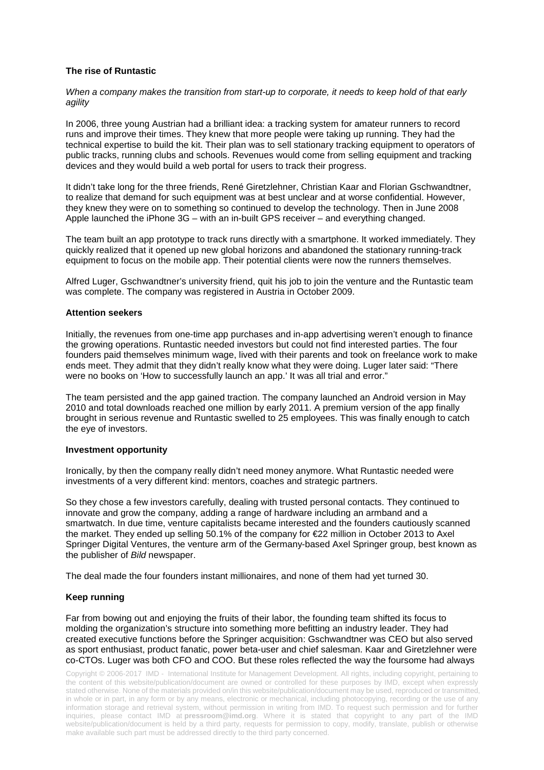## **The rise of Runtastic**

*When a company makes the transition from start-up to corporate, it needs to keep hold of that early agility*

In 2006, three young Austrian had a brilliant idea: a tracking system for amateur runners to record runs and improve their times. They knew that more people were taking up running. They had the technical expertise to build the kit. Their plan was to sell stationary tracking equipment to operators of public tracks, running clubs and schools. Revenues would come from selling equipment and tracking devices and they would build a web portal for users to track their progress.

It didn't take long for the three friends, René Giretzlehner, Christian Kaar and Florian Gschwandtner, to realize that demand for such equipment was at best unclear and at worse confidential. However, they knew they were on to something so continued to develop the technology. Then in June 2008 Apple launched the iPhone 3G – with an in-built GPS receiver – and everything changed.

The team built an app prototype to track runs directly with a smartphone. It worked immediately. They quickly realized that it opened up new global horizons and abandoned the stationary running-track equipment to focus on the mobile app. Their potential clients were now the runners themselves.

Alfred Luger, Gschwandtner's university friend, quit his job to join the venture and the Runtastic team was complete. The company was registered in Austria in October 2009.

#### **Attention seekers**

Initially, the revenues from one-time app purchases and in-app advertising weren't enough to finance the growing operations. Runtastic needed investors but could not find interested parties. The four founders paid themselves minimum wage, lived with their parents and took on freelance work to make ends meet. They admit that they didn't really know what they were doing. Luger later said: "There were no books on 'How to successfully launch an app.' It was all trial and error."

The team persisted and the app gained traction. The company launched an Android version in May 2010 and total downloads reached one million by early 2011. A premium version of the app finally brought in serious revenue and Runtastic swelled to 25 employees. This was finally enough to catch the eye of investors.

#### **Investment opportunity**

Ironically, by then the company really didn't need money anymore. What Runtastic needed were investments of a very different kind: mentors, coaches and strategic partners.

So they chose a few investors carefully, dealing with trusted personal contacts. They continued to innovate and grow the company, adding a range of hardware including an armband and a smartwatch. In due time, venture capitalists became interested and the founders cautiously scanned the market. They ended up selling 50.1% of the company for €22 million in October 2013 to Axel Springer Digital Ventures, the venture arm of the Germany-based Axel Springer group, best known as the publisher of *Bild* newspaper.

The deal made the four founders instant millionaires, and none of them had yet turned 30.

### **Keep running**

Far from bowing out and enjoying the fruits of their labor, the founding team shifted its focus to molding the organization's structure into something more befitting an industry leader. They had created executive functions before the Springer acquisition: Gschwandtner was CEO but also served as sport enthusiast, product fanatic, power beta-user and chief salesman. Kaar and Giretzlehner were co-CTOs. Luger was both CFO and COO. But these roles reflected the way the foursome had always

Copyright © 2006-2017 IMD - International Institute for Management Development. All rights, including copyright, pertaining to the content of this website/publication/document are owned or controlled for these purposes by IMD, except when expressly stated otherwise. None of the materials provided on/in this website/publication/document may be used, reproduced or transmitted, in whole or in part, in any form or by any means, electronic or mechanical, including photocopying, recording or the use of any information storage and retrieval system, without permission in writing from IMD. To request such permission and for further inquiries, please contact IMD at **[pressroom@imd.org](mailto:pressroom@imd.org)**. Where it is stated that copyright to any part of the IMD website/publication/document is held by a third party, requests for permission to copy, modify, translate, publish or otherwise make available such part must be addressed directly to the third party concerned.